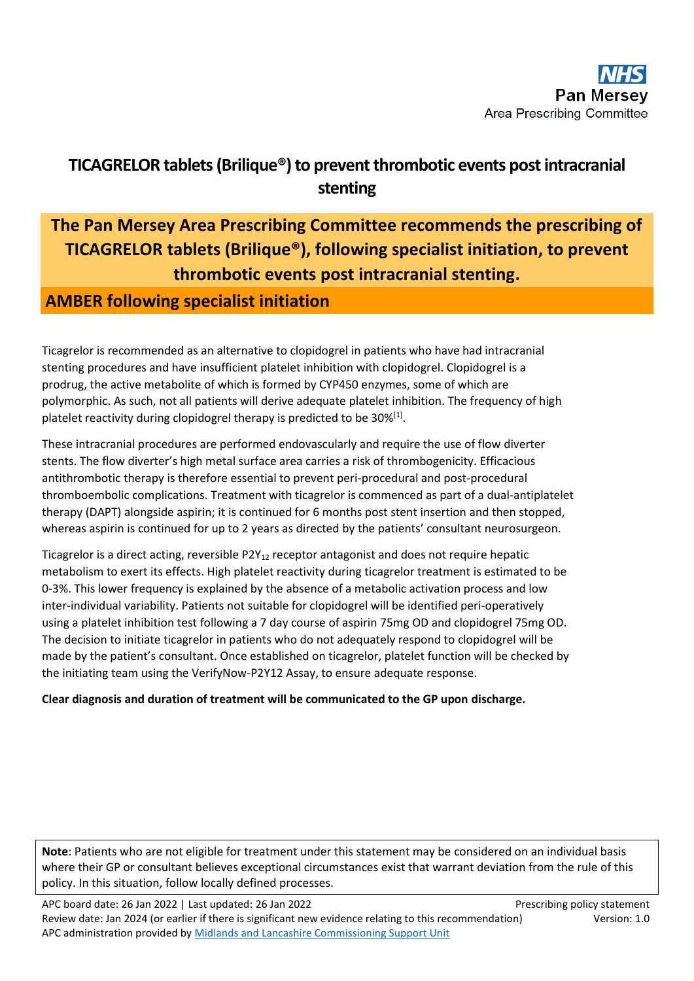## **TICAGRELOR tablets(Brilique®) to prevent thrombotic events post intracranial stenting**

# **The Pan Mersey Area Prescribing Committee recommends the prescribing of TICAGRELOR tablets (Brilique®), following specialist initiation, to prevent thrombotic events post intracranial stenting.**

### **AMBER following specialist initiation**

Ticagrelor is recommended as an alternative to clopidogrel in patients who have had intracranial stenting procedures and have insufficient platelet inhibition with clopidogrel. Clopidogrel is a prodrug, the active metabolite of which is formed by CYP450 enzymes, some of which are polymorphic. As such, not all patients will derive adequate platelet inhibition. The frequency of high platelet reactivity during clopidogrel therapy is predicted to be  $30\%^{[1]}$ .

These intracranial procedures are performed endovascularly and require the use of flow diverter stents. The flow diverter's high metal surface area carries a risk of thrombogenicity. Efficacious antithrombotic therapy is therefore essential to prevent peri-procedural and post-procedural thromboembolic complications. Treatment with ticagrelor is commenced as part of a dual-antiplatelet therapy (DAPT) alongside aspirin; it is continued for 6 months post stent insertion and then stopped, whereas aspirin is continued for up to 2 years as directed by the patients' consultant neurosurgeon.

Ticagrelor is a direct acting, reversible  $P2Y_{12}$  receptor antagonist and does not require hepatic metabolism to exert its effects. High platelet reactivity during ticagrelor treatment is estimated to be 0-3%. This lower frequency is explained by the absence of a metabolic activation process and low inter-individual variability. Patients not suitable for clopidogrel will be identified peri-operatively using a platelet inhibition test following a 7 day course of aspirin 75mg OD and clopidogrel 75mg OD. The decision to initiate ticagrelor in patients who do not adequately respond to clopidogrel will be made by the patient's consultant. Once established on ticagrelor, platelet function will be checked by the initiating team using the VerifyNow-P2Y12 Assay, to ensure adequate response.

### **Clear diagnosis and duration of treatment will be communicated to the GP upon discharge.**

**Note**: Patients who are not eligible for treatment under this statement may be considered on an individual basis where their GP or consultant believes exceptional circumstances exist that warrant deviation from the rule of this policy. In this situation, follow locally defined processes.

APC board date: 26 Jan 2022 | Last updated: 26 Jan 2022 | No. 2012 | Prescribing policy statement Review date: Jan 2024 (or earlier if there is significant new evidence relating to this recommendation) Version: 1.0 APC administration provided by Midlands [and Lancashire Commissioning Support Unit](https://www.midlandsandlancashirecsu.nhs.uk/)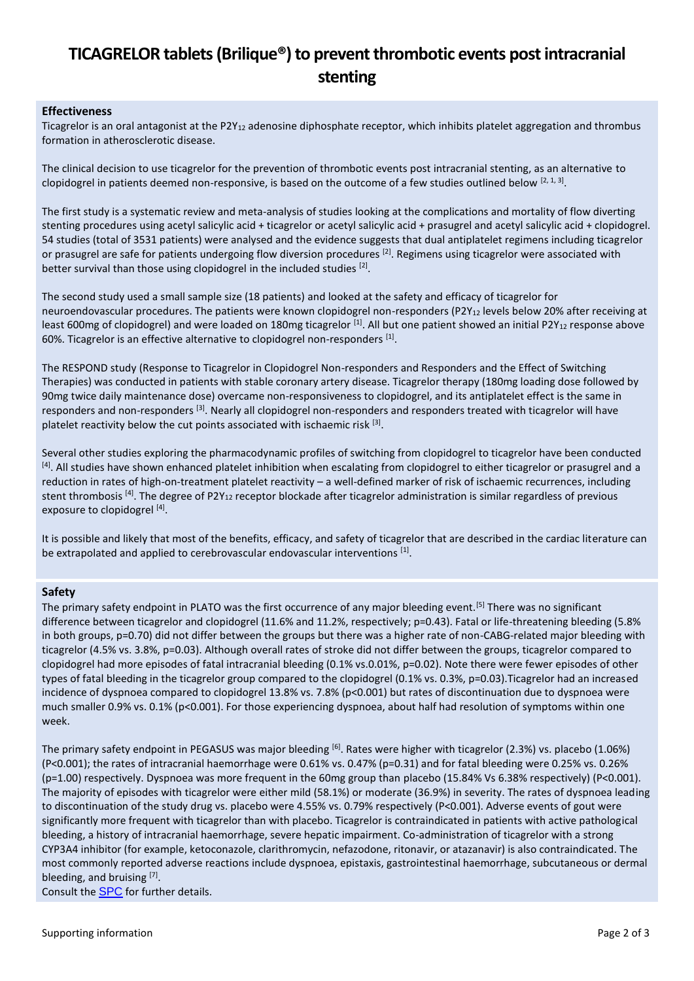## **TICAGRELOR tablets(Brilique®) to prevent thrombotic events post intracranial stenting**

#### **Effectiveness**

Ticagrelor is an oral antagonist at the P2Y<sub>12</sub> adenosine diphosphate receptor, which inhibits platelet aggregation and thrombus formation in atherosclerotic disease.

The clinical decision to use ticagrelor for the prevention of thrombotic events post intracranial stenting, as an alternative to clopidogrel in patients deemed non-responsive, is based on the outcome of a few studies outlined below  $[2, 1, 3]$ .

The first study is a systematic review and meta-analysis of studies looking at the complications and mortality of flow diverting stenting procedures using acetyl salicylic acid + ticagrelor or acetyl salicylic acid + prasugrel and acetyl salicylic acid + clopidogrel. 54 studies (total of 3531 patients) were analysed and the evidence suggests that dual antiplatelet regimens including ticagrelor or prasugrel are safe for patients undergoing flow diversion procedures <sup>[2]</sup>. Regimens using ticagrelor were associated with better survival than those using clopidogrel in the included studies [2].

The second study used a small sample size (18 patients) and looked at the safety and efficacy of ticagrelor for neuroendovascular procedures. The patients were known clopidogrel non-responders (P2Y<sub>12</sub> levels below 20% after receiving at least 600mg of clopidogrel) and were loaded on 180mg ticagrelor [1]. All but one patient showed an initial P2Y<sub>12</sub> response above 60%. Ticagrelor is an effective alternative to clopidogrel non-responders  $^{[1]}$ .

The RESPOND study (Response to Ticagrelor in Clopidogrel Non-responders and Responders and the Effect of Switching Therapies) was conducted in patients with stable coronary artery disease. Ticagrelor therapy (180mg loading dose followed by 90mg twice daily maintenance dose) overcame non-responsiveness to clopidogrel, and its antiplatelet effect is the same in responders and non-responders <sup>[3]</sup>. Nearly all clopidogrel non-responders and responders treated with ticagrelor will have platelet reactivity below the cut points associated with ischaemic risk  $^{[3]}$ .

Several other studies exploring the pharmacodynamic profiles of switching from clopidogrel to ticagrelor have been conducted <sup>[4]</sup>. All studies have shown enhanced platelet inhibition when escalating from clopidogrel to either ticagrelor or prasugrel and a reduction in rates of high-on-treatment platelet reactivity – a well-defined marker of risk of ischaemic recurrences, including stent thrombosis <sup>[4]</sup>. The degree of P2Y<sub>12</sub> receptor blockade after ticagrelor administration is similar regardless of previous exposure to clopidogrel [4].

It is possible and likely that most of the benefits, efficacy, and safety of ticagrelor that are described in the cardiac literature can be extrapolated and applied to cerebrovascular endovascular interventions [1].

#### **Safety**

The primary safety endpoint in PLATO was the first occurrence of any major bleeding event.<sup>[5]</sup> There was no significant difference between ticagrelor and clopidogrel (11.6% and 11.2%, respectively; p=0.43). Fatal or life-threatening bleeding (5.8% in both groups, p=0.70) did not differ between the groups but there was a higher rate of non-CABG-related major bleeding with ticagrelor (4.5% vs. 3.8%, p=0.03). Although overall rates of stroke did not differ between the groups, ticagrelor compared to clopidogrel had more episodes of fatal intracranial bleeding (0.1% vs.0.01%, p=0.02). Note there were fewer episodes of other types of fatal bleeding in the ticagrelor group compared to the clopidogrel (0.1% vs. 0.3%, p=0.03). Ticagrelor had an increased incidence of dyspnoea compared to clopidogrel 13.8% vs. 7.8% (p<0.001) but rates of discontinuation due to dyspnoea were much smaller 0.9% vs. 0.1% (p<0.001). For those experiencing dyspnoea, about half had resolution of symptoms within one week.

The primary safety endpoint in PEGASUS was major bleeding [6]. Rates were higher with ticagrelor (2.3%) vs. placebo (1.06%) (P<0.001); the rates of intracranial haemorrhage were 0.61% vs. 0.47% (p=0.31) and for fatal bleeding were 0.25% vs. 0.26% (p=1.00) respectively. Dyspnoea was more frequent in the 60mg group than placebo (15.84% Vs 6.38% respectively) (P<0.001). The majority of episodes with ticagrelor were either mild (58.1%) or moderate (36.9%) in severity. The rates of dyspnoea leading to discontinuation of the study drug vs. placebo were 4.55% vs. 0.79% respectively (P<0.001). Adverse events of gout were significantly more frequent with ticagrelor than with placebo. Ticagrelor is contraindicated in patients with active pathological bleeding, a history of intracranial haemorrhage, severe hepatic impairment. Co-administration of ticagrelor with a strong CYP3A4 inhibitor (for example, ketoconazole, clarithromycin, nefazodone, ritonavir, or atazanavir) is also contraindicated. The most commonly reported adverse reactions include dyspnoea, epistaxis, gastrointestinal haemorrhage, subcutaneous or dermal bleeding, and bruising [7].

Consult the **[SPC](https://www.medicines.org.uk/emc/product/5767/smpc#gref)** for further details.